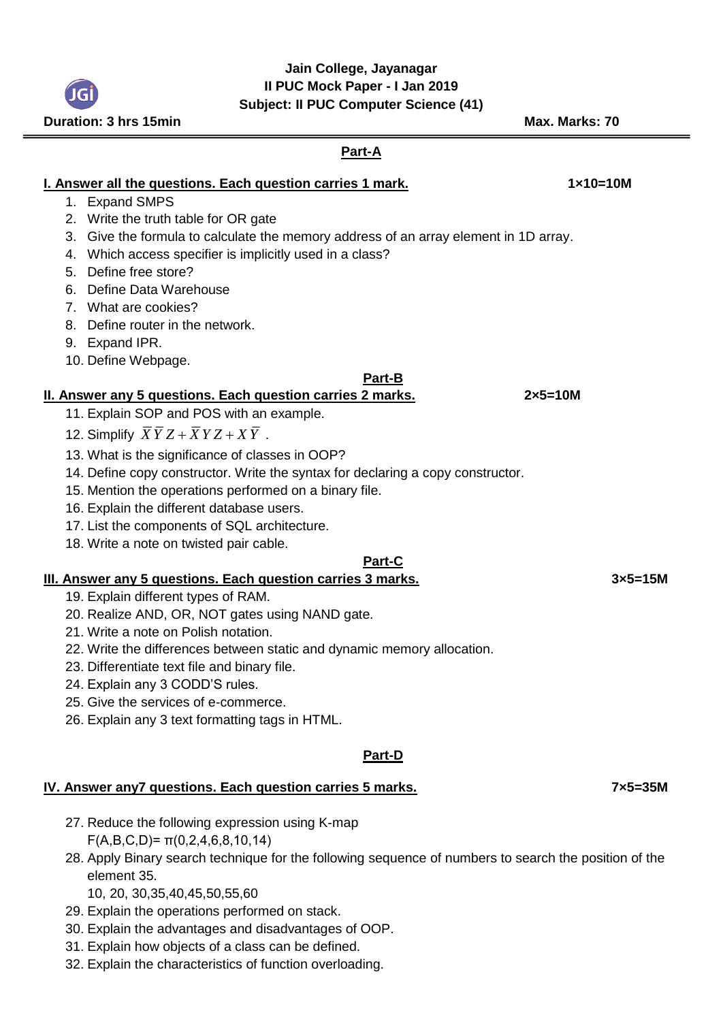## **Jain College, Jayanagar II PUC Mock Paper - I Jan 2019 Subject: II PUC Computer Science (41)**

**I. Answer all the questions. Each question carries 1 mark.** 1888 12011 1210 1210 1210 1. Expand SMPS 2. Write the truth table for OR gate 3. Give the formula to calculate the memory address of an array element in 1D array. 4. Which access specifier is implicitly used in a class? 5. Define free store? 6. Define Data Warehouse 7. What are cookies? 8. Define router in the network. 9. Expand IPR. 10. Define Webpage. **Part-B II. Answer any 5 questions. Each question carries 2 marks. 2×5=10M** 11. Explain SOP and POS with an example. 12. Simplify  $XYZ + XYZ + XY$ . 13. What is the significance of classes in OOP? 14. Define copy constructor. Write the syntax for declaring a copy constructor. 15. Mention the operations performed on a binary file. 16. Explain the different database users. 17. List the components of SQL architecture. 18. Write a note on twisted pair cable. **Part-C III. Answer any 5 questions. Each question carries 3 marks. 3×5=15M** 19. Explain different types of RAM. 20. Realize AND, OR, NOT gates using NAND gate. 21. Write a note on Polish notation. 22. Write the differences between static and dynamic memory allocation. 23. Differentiate text file and binary file. 24. Explain any 3 CODD'S rules. 25. Give the services of e-commerce. 26. Explain any 3 text formatting tags in HTML. **Part-D IV. Answer any7 questions. Each question carries 5 marks. 7×5=35M** 27. Reduce the following expression using K-map  $F(A,B,C,D)=\pi(0,2,4,6,8,10,14)$ 28. Apply Binary search technique for the following sequence of numbers to search the position of the element 35. 10, 20, 30,35,40,45,50,55,60 29. Explain the operations performed on stack.

- 30. Explain the advantages and disadvantages of OOP.
- 31. Explain how objects of a class can be defined.
- 32. Explain the characteristics of function overloading.

**Part-A**